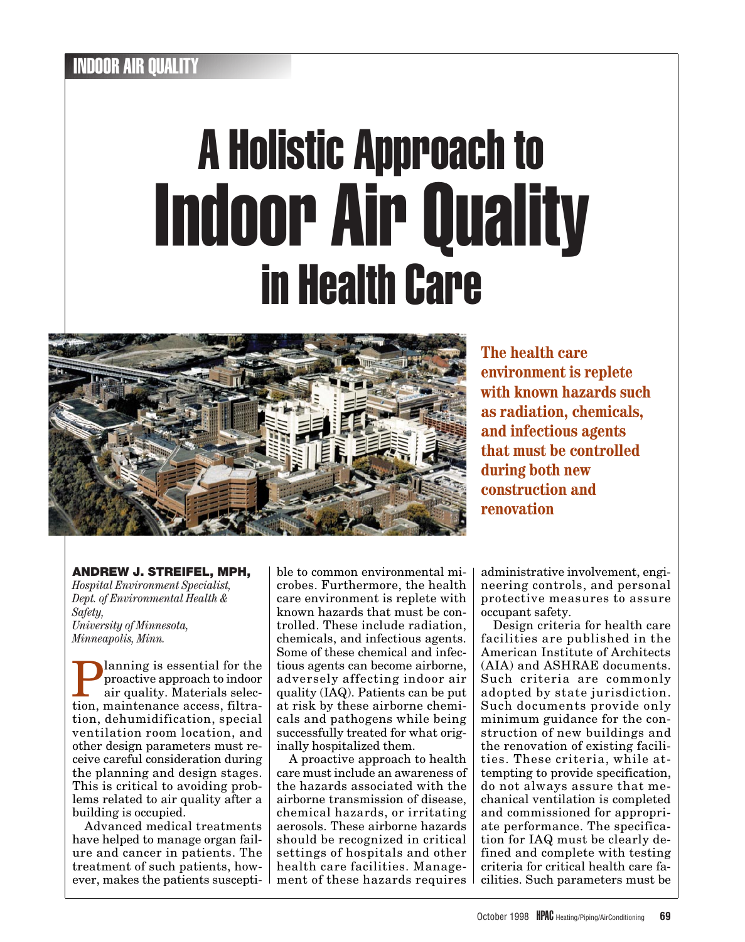# A Holistic Approach to Indoor Air Quality in Health Care



**The health care environment is replete with known hazards such as radiation, chemicals, and infectious agents that must be controlled during both new construction and renovation**

# **ANDREW J. STREIFEL, MPH,**

*Hospital Environment Specialist, Dept. of Environmental Health & Safety, University of Minnesota, Minneapolis, Minn.*

**Planning is essential for the**<br>proactive approach to indoor<br>air quality. Materials selec-<br>tion maintanance access filtraproactive approach to indoor air quality. Materials selection, maintenance access, filtration, dehumidification, special ventilation room location, and other design parameters must receive careful consideration during the planning and design stages. This is critical to avoiding problems related to air quality after a building is occupied.

Advanced medical treatments have helped to manage organ failure and cancer in patients. The treatment of such patients, however, makes the patients susceptible to common environmental microbes. Furthermore, the health care environment is replete with known hazards that must be controlled. These include radiation, chemicals, and infectious agents. Some of these chemical and infectious agents can become airborne, adversely affecting indoor air quality (IAQ). Patients can be put at risk by these airborne chemicals and pathogens while being successfully treated for what originally hospitalized them.

A proactive approach to health care must include an awareness of the hazards associated with the airborne transmission of disease, chemical hazards, or irritating aerosols. These airborne hazards should be recognized in critical settings of hospitals and other health care facilities. Management of these hazards requires administrative involvement, engineering controls, and personal protective measures to assure occupant safety.

Design criteria for health care facilities are published in the American Institute of Architects (AIA) and ASHRAE documents. Such criteria are commonly adopted by state jurisdiction. Such documents provide only minimum guidance for the construction of new buildings and the renovation of existing facilities. These criteria, while attempting to provide specification, do not always assure that mechanical ventilation is completed and commissioned for appropriate performance. The specification for IAQ must be clearly defined and complete with testing criteria for critical health care facilities. Such parameters must be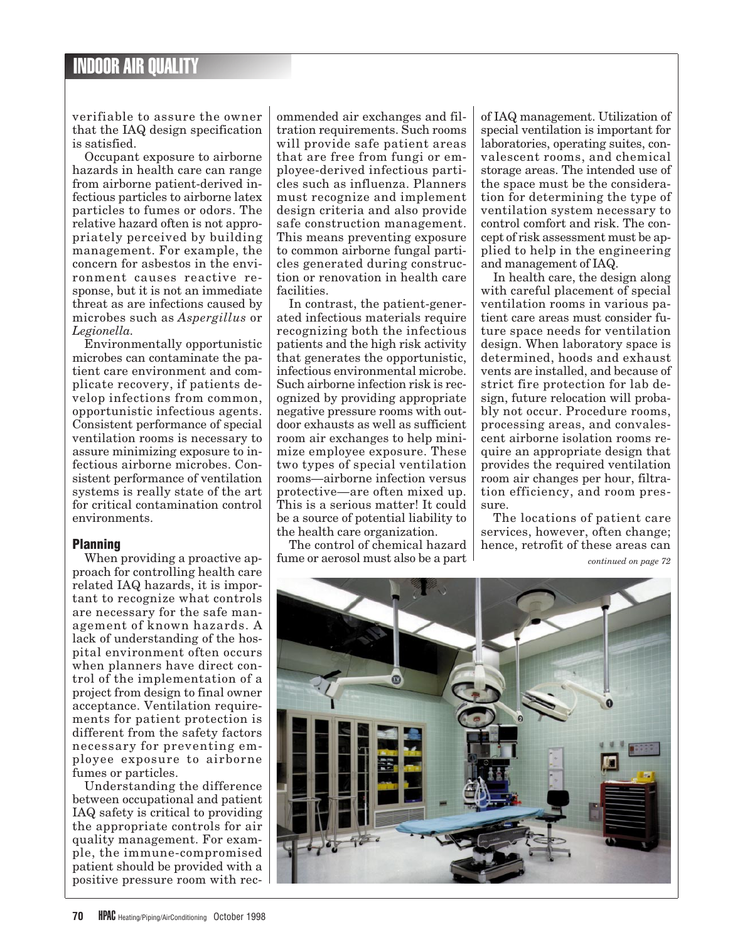verifiable to assure the owner that the IAQ design specification is satisfied.

Occupant exposure to airborne hazards in health care can range from airborne patient-derived infectious particles to airborne latex particles to fumes or odors. The relative hazard often is not appropriately perceived by building management. For example, the concern for asbestos in the environment causes reactive response, but it is not an immediate threat as are infections caused by microbes such as *Aspergillus* or *Legionella.*

Environmentally opportunistic microbes can contaminate the patient care environment and complicate recovery, if patients develop infections from common, opportunistic infectious agents. Consistent performance of special ventilation rooms is necessary to assure minimizing exposure to infectious airborne microbes. Consistent performance of ventilation systems is really state of the art for critical contamination control environments.

## **Planning**

When providing a proactive approach for controlling health care related IAQ hazards, it is important to recognize what controls are necessary for the safe management of known hazards. A lack of understanding of the hospital environment often occurs when planners have direct control of the implementation of a project from design to final owner acceptance. Ventilation requirements for patient protection is different from the safety factors necessary for preventing employee exposure to airborne fumes or particles.

Understanding the difference between occupational and patient IAQ safety is critical to providing the appropriate controls for air quality management. For example, the immune-compromised patient should be provided with a positive pressure room with rec-

ommended air exchanges and filtration requirements. Such rooms will provide safe patient areas that are free from fungi or employee-derived infectious particles such as influenza. Planners must recognize and implement design criteria and also provide safe construction management. This means preventing exposure to common airborne fungal particles generated during construction or renovation in health care facilities.

In contrast, the patient-generated infectious materials require recognizing both the infectious patients and the high risk activity that generates the opportunistic, infectious environmental microbe. Such airborne infection risk is recognized by providing appropriate negative pressure rooms with outdoor exhausts as well as sufficient room air exchanges to help minimize employee exposure. These two types of special ventilation rooms—airborne infection versus protective—are often mixed up. This is a serious matter! It could be a source of potential liability to the health care organization.

The control of chemical hazard fume or aerosol must also be a part

of IAQ management. Utilization of special ventilation is important for laboratories, operating suites, convalescent rooms, and chemical storage areas. The intended use of the space must be the consideration for determining the type of ventilation system necessary to control comfort and risk. The concept of risk assessment must be applied to help in the engineering and management of IAQ.

In health care, the design along with careful placement of special ventilation rooms in various patient care areas must consider future space needs for ventilation design. When laboratory space is determined, hoods and exhaust vents are installed, and because of strict fire protection for lab design, future relocation will probably not occur. Procedure rooms, processing areas, and convalescent airborne isolation rooms require an appropriate design that provides the required ventilation room air changes per hour, filtration efficiency, and room pressure.

The locations of patient care services, however, often change; hence, retrofit of these areas can

*continued on page 72*

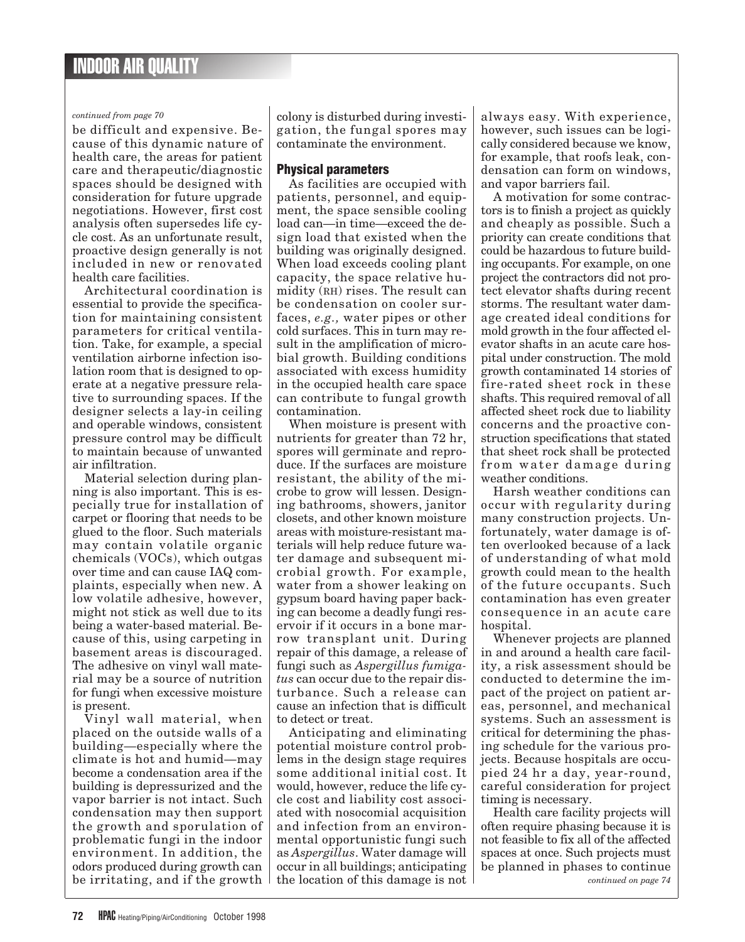## *continued from page 70*

be difficult and expensive. Because of this dynamic nature of health care, the areas for patient care and therapeutic/diagnostic spaces should be designed with consideration for future upgrade negotiations. However, first cost analysis often supersedes life cycle cost. As an unfortunate result, proactive design generally is not included in new or renovated health care facilities.

Architectural coordination is essential to provide the specification for maintaining consistent parameters for critical ventilation. Take, for example, a special ventilation airborne infection isolation room that is designed to operate at a negative pressure relative to surrounding spaces. If the designer selects a lay-in ceiling and operable windows, consistent pressure control may be difficult to maintain because of unwanted air infiltration.

Material selection during planning is also important. This is especially true for installation of carpet or flooring that needs to be glued to the floor. Such materials may contain volatile organic chemicals (VOCs), which outgas over time and can cause IAQ complaints, especially when new. A low volatile adhesive, however, might not stick as well due to its being a water-based material. Because of this, using carpeting in basement areas is discouraged. The adhesive on vinyl wall material may be a source of nutrition for fungi when excessive moisture is present.

Vinyl wall material, when placed on the outside walls of a building—especially where the climate is hot and humid—may become a condensation area if the building is depressurized and the vapor barrier is not intact. Such condensation may then support the growth and sporulation of problematic fungi in the indoor environment. In addition, the odors produced during growth can be irritating, and if the growth

colony is disturbed during investigation, the fungal spores may contaminate the environment.

## **Physical parameters**

As facilities are occupied with patients, personnel, and equipment, the space sensible cooling load can—in time—exceed the design load that existed when the building was originally designed. When load exceeds cooling plant capacity, the space relative humidity (RH) rises. The result can be condensation on cooler surfaces, *e.g.,* water pipes or other cold surfaces. This in turn may result in the amplification of microbial growth. Building conditions associated with excess humidity in the occupied health care space can contribute to fungal growth contamination.

When moisture is present with nutrients for greater than 72 hr, spores will germinate and reproduce. If the surfaces are moisture resistant, the ability of the microbe to grow will lessen. Designing bathrooms, showers, janitor closets, and other known moisture areas with moisture-resistant materials will help reduce future water damage and subsequent microbial growth. For example, water from a shower leaking on gypsum board having paper backing can become a deadly fungi reservoir if it occurs in a bone marrow transplant unit. During repair of this damage, a release of fungi such as *Aspergillus fumigatus* can occur due to the repair disturbance. Such a release can cause an infection that is difficult to detect or treat.

Anticipating and eliminating potential moisture control problems in the design stage requires some additional initial cost. It would, however, reduce the life cycle cost and liability cost associated with nosocomial acquisition and infection from an environmental opportunistic fungi such as *Aspergillus*. Water damage will occur in all buildings; anticipating the location of this damage is not

always easy. With experience, however, such issues can be logically considered because we know, for example, that roofs leak, condensation can form on windows, and vapor barriers fail.

A motivation for some contractors is to finish a project as quickly and cheaply as possible. Such a priority can create conditions that could be hazardous to future building occupants. For example, on one project the contractors did not protect elevator shafts during recent storms. The resultant water damage created ideal conditions for mold growth in the four affected elevator shafts in an acute care hospital under construction. The mold growth contaminated 14 stories of fire-rated sheet rock in these shafts. This required removal of all affected sheet rock due to liability concerns and the proactive construction specifications that stated that sheet rock shall be protected from water damage during weather conditions.

Harsh weather conditions can occur with regularity during many construction projects. Unfortunately, water damage is often overlooked because of a lack of understanding of what mold growth could mean to the health of the future occupants. Such contamination has even greater consequence in an acute care hospital.

Whenever projects are planned in and around a health care facility, a risk assessment should be conducted to determine the impact of the project on patient areas, personnel, and mechanical systems. Such an assessment is critical for determining the phasing schedule for the various projects. Because hospitals are occupied 24 hr a day, year-round, careful consideration for project timing is necessary.

Health care facility projects will often require phasing because it is not feasible to fix all of the affected spaces at once. Such projects must be planned in phases to continue *continued on page 74*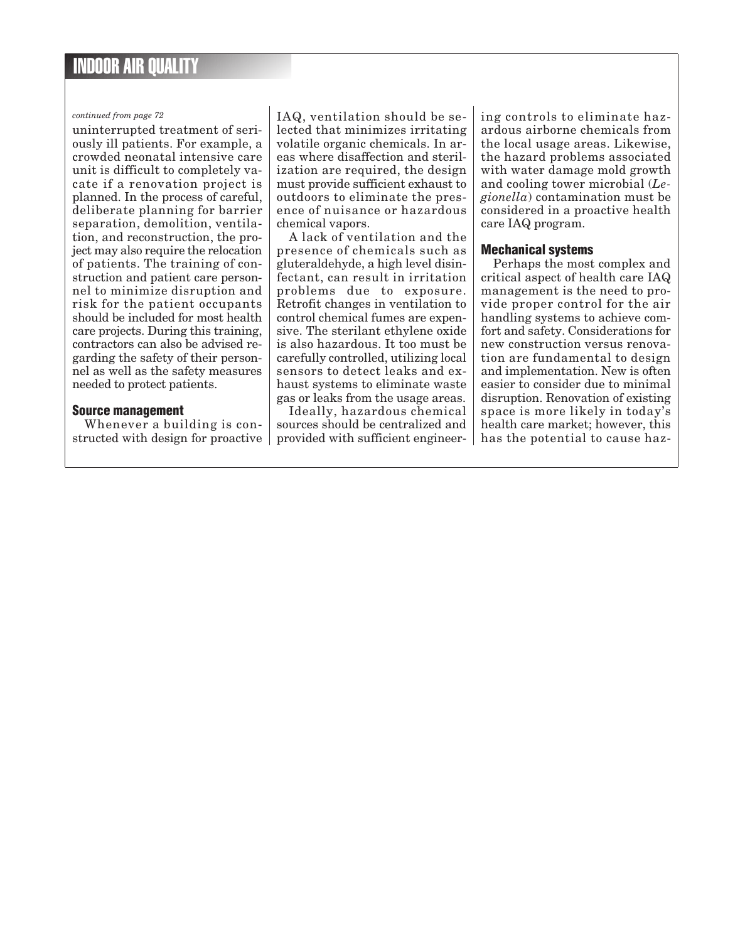#### *continued from page 72*

uninterrupted treatment of seriously ill patients. For example, a crowded neonatal intensive care unit is difficult to completely vacate if a renovation project is planned. In the process of careful, deliberate planning for barrier separation, demolition, ventilation, and reconstruction, the project may also require the relocation of patients. The training of construction and patient care personnel to minimize disruption and risk for the patient occupants should be included for most health care projects. During this training, contractors can also be advised regarding the safety of their personnel as well as the safety measures needed to protect patients.

#### **Source management**

Whenever a building is constructed with design for proactive IAQ, ventilation should be selected that minimizes irritating volatile organic chemicals. In areas where disaffection and sterilization are required, the design must provide sufficient exhaust to outdoors to eliminate the presence of nuisance or hazardous chemical vapors.

A lack of ventilation and the presence of chemicals such as gluteraldehyde, a high level disinfectant, can result in irritation problems due to exposure. Retrofit changes in ventilation to control chemical fumes are expensive. The sterilant ethylene oxide is also hazardous. It too must be carefully controlled, utilizing local sensors to detect leaks and exhaust systems to eliminate waste gas or leaks from the usage areas.

Ideally, hazardous chemical sources should be centralized and provided with sufficient engineer-

ing controls to eliminate hazardous airborne chemicals from the local usage areas. Likewise, the hazard problems associated with water damage mold growth and cooling tower microbial (*Legionella*) contamination must be considered in a proactive health care IAQ program.

## **Mechanical systems**

Perhaps the most complex and critical aspect of health care IAQ management is the need to provide proper control for the air handling systems to achieve comfort and safety. Considerations for new construction versus renovation are fundamental to design and implementation. New is often easier to consider due to minimal disruption. Renovation of existing space is more likely in today's health care market; however, this has the potential to cause haz-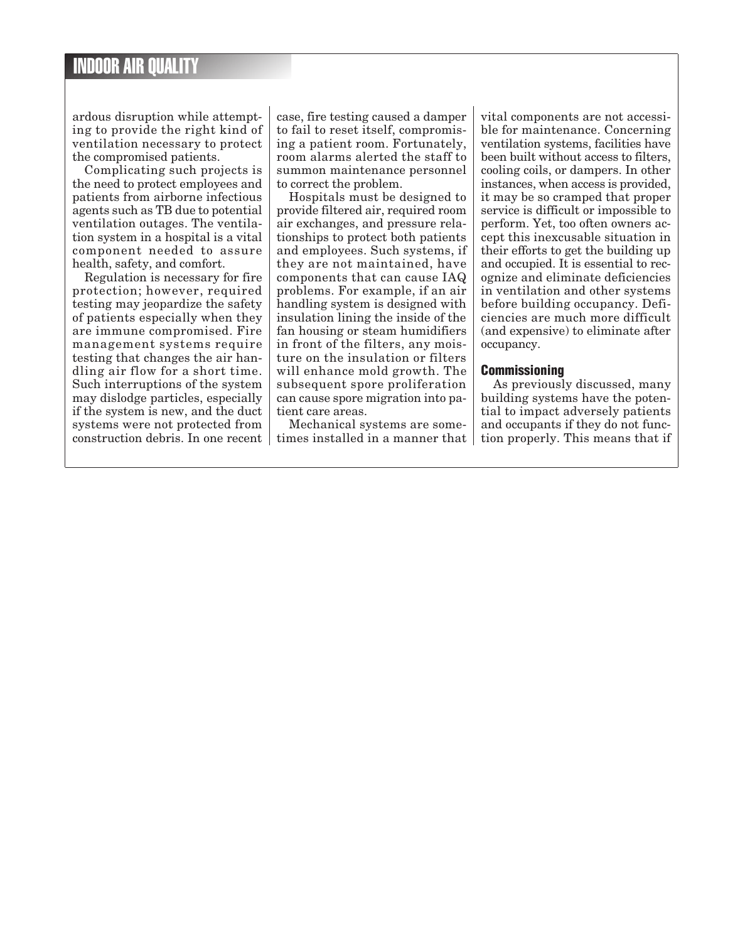ardous disruption while attempting to provide the right kind of ventilation necessary to protect the compromised patients.

Complicating such projects is the need to protect employees and patients from airborne infectious agents such as TB due to potential ventilation outages. The ventilation system in a hospital is a vital component needed to assure health, safety, and comfort.

Regulation is necessary for fire protection; however, required testing may jeopardize the safety of patients especially when they are immune compromised. Fire management systems require testing that changes the air handling air flow for a short time. Such interruptions of the system may dislodge particles, especially if the system is new, and the duct systems were not protected from construction debris. In one recent

case, fire testing caused a damper to fail to reset itself, compromising a patient room. Fortunately, room alarms alerted the staff to summon maintenance personnel to correct the problem.

Hospitals must be designed to provide filtered air, required room air exchanges, and pressure relationships to protect both patients and employees. Such systems, if they are not maintained, have components that can cause IAQ problems. For example, if an air handling system is designed with insulation lining the inside of the fan housing or steam humidifiers in front of the filters, any moisture on the insulation or filters will enhance mold growth. The subsequent spore proliferation can cause spore migration into patient care areas.

Mechanical systems are sometimes installed in a manner that

vital components are not accessible for maintenance. Concerning ventilation systems, facilities have been built without access to filters, cooling coils, or dampers. In other instances, when access is provided, it may be so cramped that proper service is difficult or impossible to perform. Yet, too often owners accept this inexcusable situation in their efforts to get the building up and occupied. It is essential to recognize and eliminate deficiencies in ventilation and other systems before building occupancy. Deficiencies are much more difficult (and expensive) to eliminate after occupancy.

## **Commissioning**

As previously discussed, many building systems have the potential to impact adversely patients and occupants if they do not function properly. This means that if